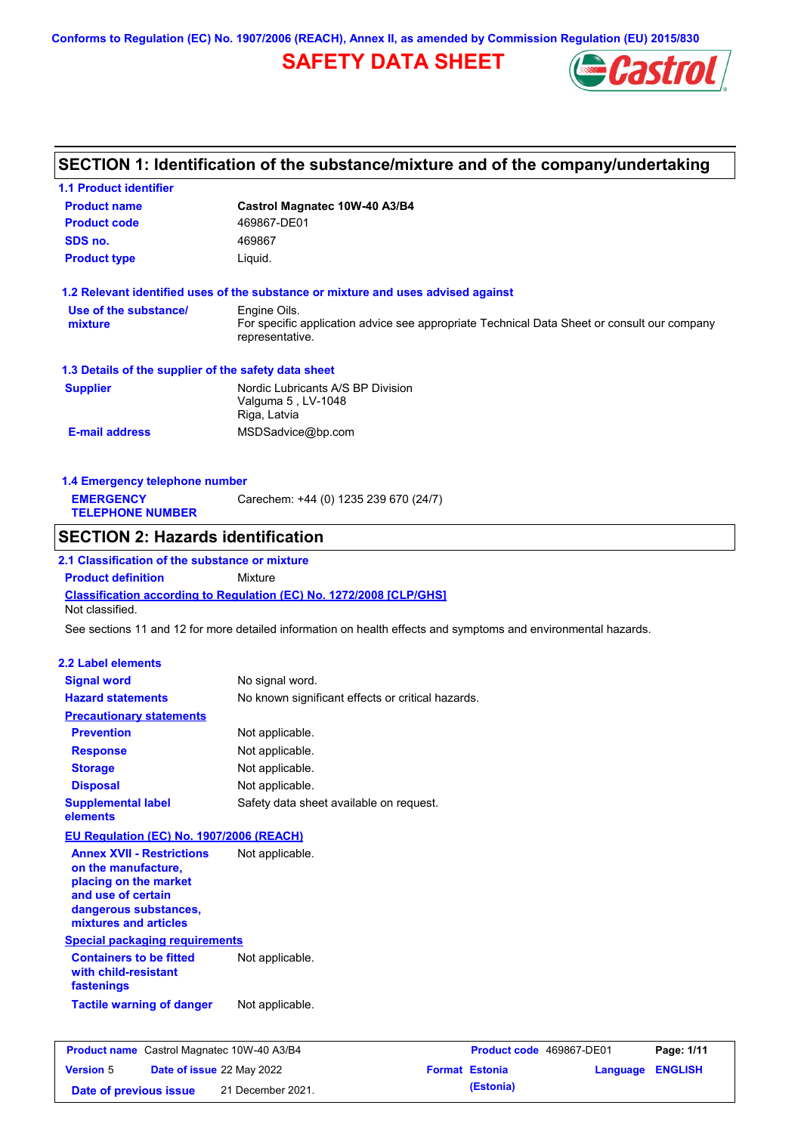**Conforms to Regulation (EC) No. 1907/2006 (REACH), Annex II, as amended by Commission Regulation (EU) 2015/830**

# **SAFETY DATA SHEET**



# **SECTION 1: Identification of the substance/mixture and of the company/undertaking**

| <b>1.1 Product identifier</b>                                                    |                                                                                                                |                       |                          |                  |
|----------------------------------------------------------------------------------|----------------------------------------------------------------------------------------------------------------|-----------------------|--------------------------|------------------|
| <b>Product name</b>                                                              | Castrol Magnatec 10W-40 A3/B4                                                                                  |                       |                          |                  |
| <b>Product code</b>                                                              | 469867-DE01                                                                                                    |                       |                          |                  |
| SDS no.                                                                          | 469867                                                                                                         |                       |                          |                  |
| <b>Product type</b>                                                              | Liquid.                                                                                                        |                       |                          |                  |
|                                                                                  | 1.2 Relevant identified uses of the substance or mixture and uses advised against                              |                       |                          |                  |
| Use of the substance/                                                            | Engine Oils.                                                                                                   |                       |                          |                  |
| mixture                                                                          | For specific application advice see appropriate Technical Data Sheet or consult our company<br>representative. |                       |                          |                  |
| 1.3 Details of the supplier of the safety data sheet                             |                                                                                                                |                       |                          |                  |
| <b>Supplier</b>                                                                  | Nordic Lubricants A/S BP Division<br>Valguma 5, LV-1048<br>Riga, Latvia                                        |                       |                          |                  |
| <b>E-mail address</b>                                                            | MSDSadvice@bp.com                                                                                              |                       |                          |                  |
|                                                                                  |                                                                                                                |                       |                          |                  |
| 1.4 Emergency telephone number                                                   |                                                                                                                |                       |                          |                  |
| <b>EMERGENCY</b><br><b>TELEPHONE NUMBER</b>                                      | Carechem: +44 (0) 1235 239 670 (24/7)                                                                          |                       |                          |                  |
| <b>SECTION 2: Hazards identification</b>                                         |                                                                                                                |                       |                          |                  |
| 2.1 Classification of the substance or mixture                                   |                                                                                                                |                       |                          |                  |
| <b>Product definition</b>                                                        | Mixture                                                                                                        |                       |                          |                  |
| Not classified.                                                                  | Classification according to Regulation (EC) No. 1272/2008 [CLP/GHS]                                            |                       |                          |                  |
|                                                                                  | See sections 11 and 12 for more detailed information on health effects and symptoms and environmental hazards. |                       |                          |                  |
|                                                                                  |                                                                                                                |                       |                          |                  |
| <b>2.2 Label elements</b>                                                        |                                                                                                                |                       |                          |                  |
| <b>Signal word</b>                                                               | No signal word.                                                                                                |                       |                          |                  |
| <b>Hazard statements</b>                                                         | No known significant effects or critical hazards.                                                              |                       |                          |                  |
| <b>Precautionary statements</b>                                                  |                                                                                                                |                       |                          |                  |
| <b>Prevention</b>                                                                | Not applicable.                                                                                                |                       |                          |                  |
| <b>Response</b>                                                                  | Not applicable.                                                                                                |                       |                          |                  |
| <b>Storage</b>                                                                   | Not applicable.                                                                                                |                       |                          |                  |
| <b>Disposal</b>                                                                  | Not applicable.                                                                                                |                       |                          |                  |
| <b>Supplemental label</b><br>elements                                            | Safety data sheet available on request.                                                                        |                       |                          |                  |
| EU Regulation (EC) No. 1907/2006 (REACH)                                         |                                                                                                                |                       |                          |                  |
| <b>Annex XVII - Restrictions</b><br>on the manufacture,<br>placing on the market | Not applicable.                                                                                                |                       |                          |                  |
| and use of certain<br>dangerous substances,<br>mixtures and articles             |                                                                                                                |                       |                          |                  |
| <b>Special packaging requirements</b>                                            |                                                                                                                |                       |                          |                  |
| <b>Containers to be fitted</b><br>with child-resistant<br>fastenings             | Not applicable.                                                                                                |                       |                          |                  |
| <b>Tactile warning of danger</b>                                                 | Not applicable.                                                                                                |                       |                          |                  |
| <b>Product name</b> Castrol Magnatec 10W-40 A3/B4                                |                                                                                                                |                       | Product code 469867-DE01 | Page: 1/11       |
| <b>Version 5</b>                                                                 | Date of issue 22 May 2022                                                                                      | <b>Format Estonia</b> |                          | Language ENGLISH |

**Date of previous issue (Estonia)** 21 December 2021.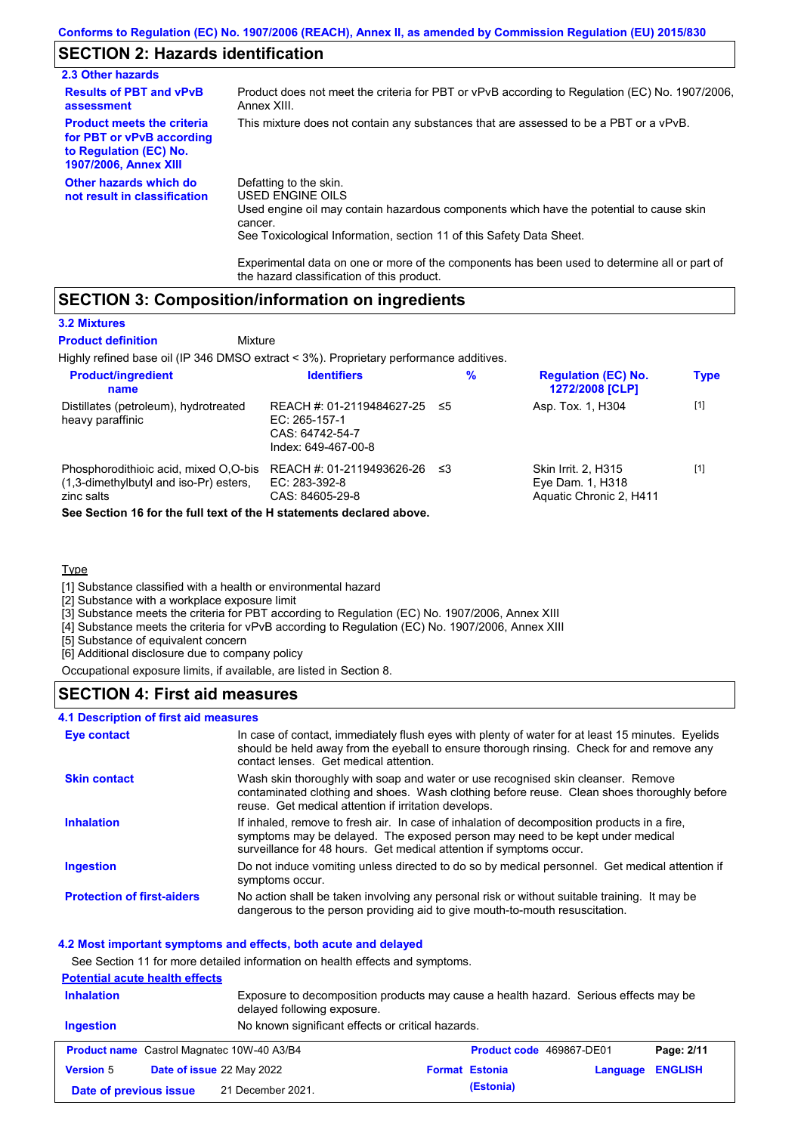## **SECTION 2: Hazards identification**

| 2.3 Other hazards                                                                                                        |                                                                                                                                                                                                                                                                                                                          |
|--------------------------------------------------------------------------------------------------------------------------|--------------------------------------------------------------------------------------------------------------------------------------------------------------------------------------------------------------------------------------------------------------------------------------------------------------------------|
| <b>Results of PBT and vPvB</b><br>assessment                                                                             | Product does not meet the criteria for PBT or vPvB according to Regulation (EC) No. 1907/2006,<br>Annex XIII.                                                                                                                                                                                                            |
| <b>Product meets the criteria</b><br>for PBT or vPvB according<br>to Regulation (EC) No.<br><b>1907/2006, Annex XIII</b> | This mixture does not contain any substances that are assessed to be a PBT or a vPvB.                                                                                                                                                                                                                                    |
| Other hazards which do<br>not result in classification                                                                   | Defatting to the skin.<br>USED ENGINE OILS<br>Used engine oil may contain hazardous components which have the potential to cause skin<br>cancer.<br>See Toxicological Information, section 11 of this Safety Data Sheet.<br>Experimental data on one or more of the components has been used to determine all or part of |

## **SECTION 3: Composition/information on ingredients**

#### **3.2 Mixtures**

| <b>Product definition</b>                                                                     | Mixture                                                                              |      |   |                                                                    |             |
|-----------------------------------------------------------------------------------------------|--------------------------------------------------------------------------------------|------|---|--------------------------------------------------------------------|-------------|
| Highly refined base oil (IP 346 DMSO extract < 3%). Proprietary performance additives.        |                                                                                      |      |   |                                                                    |             |
| <b>Product/ingredient</b><br>name                                                             | <b>Identifiers</b>                                                                   |      | % | <b>Regulation (EC) No.</b><br>1272/2008 [CLP]                      | <b>Type</b> |
| Distillates (petroleum), hydrotreated<br>heavy paraffinic                                     | REACH #: 01-2119484627-25<br>EC: 265-157-1<br>CAS: 64742-54-7<br>Index: 649-467-00-8 | - ≤5 |   | Asp. Tox. 1, H304                                                  | $[1]$       |
| Phosphorodithioic acid, mixed O,O-bis<br>(1,3-dimethylbutyl and iso-Pr) esters,<br>zinc salts | REACH #: 01-2119493626-26<br>EC: 283-392-8<br>CAS: 84605-29-8                        | - ≤3 |   | Skin Irrit. 2, H315<br>Eye Dam. 1, H318<br>Aquatic Chronic 2, H411 | $[1]$       |
| Arra Arrathera 4A for the full took of the 11 statements dealers at all core                  |                                                                                      |      |   |                                                                    |             |

the hazard classification of this product.

**See Section 16 for the full text of the H statements declared above.**

## **Type**

[1] Substance classified with a health or environmental hazard

[2] Substance with a workplace exposure limit

[3] Substance meets the criteria for PBT according to Regulation (EC) No. 1907/2006, Annex XIII

[4] Substance meets the criteria for vPvB according to Regulation (EC) No. 1907/2006, Annex XIII

[5] Substance of equivalent concern

[6] Additional disclosure due to company policy

Occupational exposure limits, if available, are listed in Section 8.

## **SECTION 4: First aid measures**

#### **4.1 Description of first aid measures**

| <b>Eye contact</b>                | In case of contact, immediately flush eyes with plenty of water for at least 15 minutes. Eyelids<br>should be held away from the eyeball to ensure thorough rinsing. Check for and remove any<br>contact lenses. Get medical attention.             |
|-----------------------------------|-----------------------------------------------------------------------------------------------------------------------------------------------------------------------------------------------------------------------------------------------------|
| <b>Skin contact</b>               | Wash skin thoroughly with soap and water or use recognised skin cleanser. Remove<br>contaminated clothing and shoes. Wash clothing before reuse. Clean shoes thoroughly before<br>reuse. Get medical attention if irritation develops.              |
| <b>Inhalation</b>                 | If inhaled, remove to fresh air. In case of inhalation of decomposition products in a fire,<br>symptoms may be delayed. The exposed person may need to be kept under medical<br>surveillance for 48 hours. Get medical attention if symptoms occur. |
| <b>Ingestion</b>                  | Do not induce vomiting unless directed to do so by medical personnel. Get medical attention if<br>symptoms occur.                                                                                                                                   |
| <b>Protection of first-aiders</b> | No action shall be taken involving any personal risk or without suitable training. It may be<br>dangerous to the person providing aid to give mouth-to-mouth resuscitation.                                                                         |

## **4.2 Most important symptoms and effects, both acute and delayed**

See Section 11 for more detailed information on health effects and symptoms. **Potential acute health effects Inhalation** Exposure to decomposition products may cause a health hazard. Serious effects may be delayed following exposure. **Ingestion** No known significant effects or critical hazards. **Product name** Castrol Magnatec 10W-40 A3/B4 **Product code 469867-DE01 Page: 2/11 Version** 5 **Date of issue** 22 May 2022 **Format Estonia Language ENGLISH Date of previous issue (Estonia)** 21 December 2021.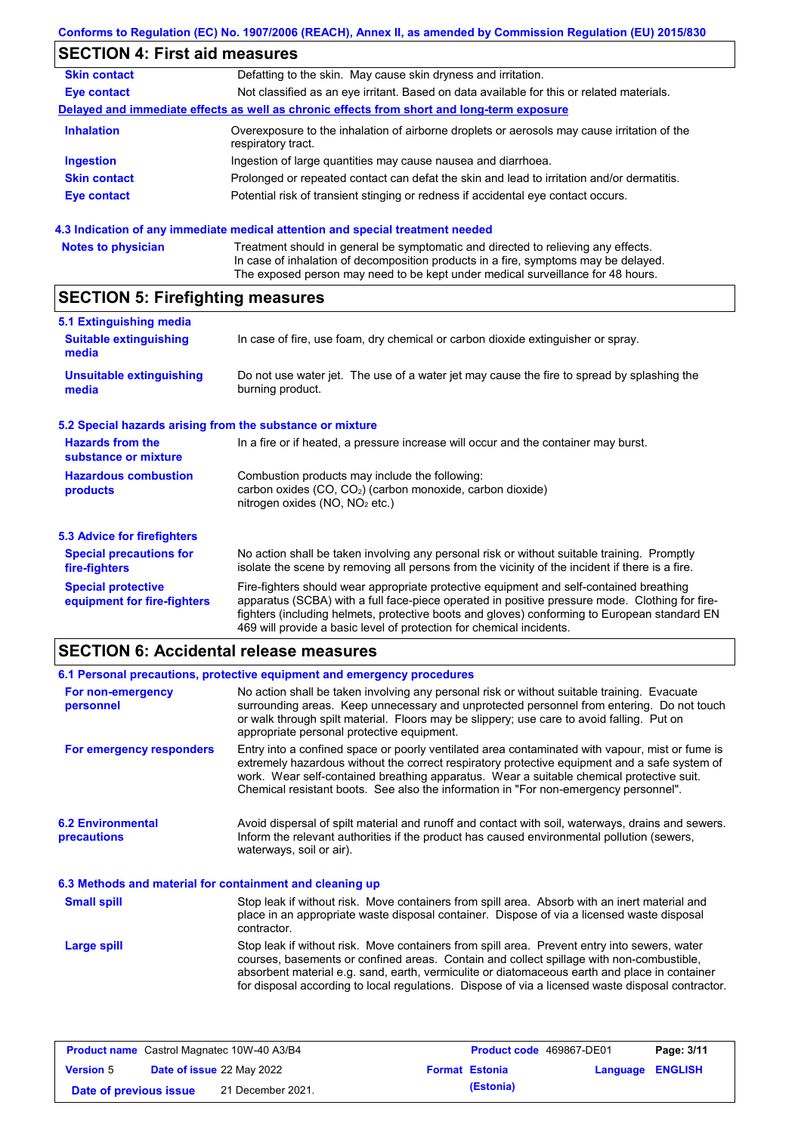## **Conforms to Regulation (EC) No. 1907/2006 (REACH), Annex II, as amended by Commission Regulation (EU) 2015/830**

#### **SECTION 4: First aid measures Skin contact** Defatting to the skin. May cause skin dryness and irritation. **Eye contact** Not classified as an eye irritant. Based on data available for this or related materials. **Delayed and immediate effects as well as chronic effects from short and long-term exposure Inhalation Ingestion Skin contact Eye contact** Overexposure to the inhalation of airborne droplets or aerosols may cause irritation of the respiratory tract. Ingestion of large quantities may cause nausea and diarrhoea. Prolonged or repeated contact can defat the skin and lead to irritation and/or dermatitis. Potential risk of transient stinging or redness if accidental eye contact occurs.

## **4.3 Indication of any immediate medical attention and special treatment needed**

| <b>Notes to physician</b> | Treatment should in general be symptomatic and directed to relieving any effects.   |
|---------------------------|-------------------------------------------------------------------------------------|
|                           | In case of inhalation of decomposition products in a fire, symptoms may be delayed. |
|                           | The exposed person may need to be kept under medical surveillance for 48 hours.     |

## **SECTION 5: Firefighting measures**

| 5.1 Extinguishing media                                   |                                                                                                                                                                                                                                                                                                                                                                   |  |  |
|-----------------------------------------------------------|-------------------------------------------------------------------------------------------------------------------------------------------------------------------------------------------------------------------------------------------------------------------------------------------------------------------------------------------------------------------|--|--|
| <b>Suitable extinguishing</b><br>media                    | In case of fire, use foam, dry chemical or carbon dioxide extinguisher or spray.                                                                                                                                                                                                                                                                                  |  |  |
| <b>Unsuitable extinguishing</b><br>media                  | Do not use water jet. The use of a water jet may cause the fire to spread by splashing the<br>burning product.                                                                                                                                                                                                                                                    |  |  |
| 5.2 Special hazards arising from the substance or mixture |                                                                                                                                                                                                                                                                                                                                                                   |  |  |
| <b>Hazards from the</b><br>substance or mixture           | In a fire or if heated, a pressure increase will occur and the container may burst.                                                                                                                                                                                                                                                                               |  |  |
| <b>Hazardous combustion</b><br>products                   | Combustion products may include the following:<br>carbon oxides (CO, CO <sub>2</sub> ) (carbon monoxide, carbon dioxide)<br>nitrogen oxides ( $NO$ , $NO2$ etc.)                                                                                                                                                                                                  |  |  |
| 5.3 Advice for firefighters                               |                                                                                                                                                                                                                                                                                                                                                                   |  |  |
| <b>Special precautions for</b><br>fire-fighters           | No action shall be taken involving any personal risk or without suitable training. Promptly<br>isolate the scene by removing all persons from the vicinity of the incident if there is a fire.                                                                                                                                                                    |  |  |
| <b>Special protective</b><br>equipment for fire-fighters  | Fire-fighters should wear appropriate protective equipment and self-contained breathing<br>apparatus (SCBA) with a full face-piece operated in positive pressure mode. Clothing for fire-<br>fighters (including helmets, protective boots and gloves) conforming to European standard EN<br>469 will provide a basic level of protection for chemical incidents. |  |  |

## **SECTION 6: Accidental release measures**

|                                                                                                                                                                                                                                                                        | 6.1 Personal precautions, protective equipment and emergency procedures                                                                                                                                                                                                                                                                                                                        |  |
|------------------------------------------------------------------------------------------------------------------------------------------------------------------------------------------------------------------------------------------------------------------------|------------------------------------------------------------------------------------------------------------------------------------------------------------------------------------------------------------------------------------------------------------------------------------------------------------------------------------------------------------------------------------------------|--|
| For non-emergency<br>personnel                                                                                                                                                                                                                                         | No action shall be taken involving any personal risk or without suitable training. Evacuate<br>surrounding areas. Keep unnecessary and unprotected personnel from entering. Do not touch<br>or walk through spilt material. Floors may be slippery; use care to avoid falling. Put on<br>appropriate personal protective equipment.                                                            |  |
| For emergency responders                                                                                                                                                                                                                                               | Entry into a confined space or poorly ventilated area contaminated with vapour, mist or fume is<br>extremely hazardous without the correct respiratory protective equipment and a safe system of<br>work. Wear self-contained breathing apparatus. Wear a suitable chemical protective suit.<br>Chemical resistant boots. See also the information in "For non-emergency personnel".           |  |
| <b>6.2 Environmental</b><br>Avoid dispersal of spilt material and runoff and contact with soil, waterways, drains and sewers.<br>Inform the relevant authorities if the product has caused environmental pollution (sewers,<br>precautions<br>waterways, soil or air). |                                                                                                                                                                                                                                                                                                                                                                                                |  |
| 6.3 Methods and material for containment and cleaning up                                                                                                                                                                                                               |                                                                                                                                                                                                                                                                                                                                                                                                |  |
| <b>Small spill</b>                                                                                                                                                                                                                                                     | Stop leak if without risk. Move containers from spill area. Absorb with an inert material and<br>place in an appropriate waste disposal container. Dispose of via a licensed waste disposal<br>contractor.                                                                                                                                                                                     |  |
| Large spill                                                                                                                                                                                                                                                            | Stop leak if without risk. Move containers from spill area. Prevent entry into sewers, water<br>courses, basements or confined areas. Contain and collect spillage with non-combustible,<br>absorbent material e.g. sand, earth, vermiculite or diatomaceous earth and place in container<br>for disposal according to local regulations. Dispose of via a licensed waste disposal contractor. |  |

| <b>Product name</b> Castrol Magnatec 10W-40 A3/B4 |  | <b>Product code</b> 469867-DE01  |  | Page: 3/11            |                         |  |
|---------------------------------------------------|--|----------------------------------|--|-----------------------|-------------------------|--|
| <b>Version 5</b>                                  |  | <b>Date of issue 22 May 2022</b> |  | <b>Format Estonia</b> | <b>Language ENGLISH</b> |  |
| Date of previous issue                            |  | 21 December 2021.                |  | (Estonia)             |                         |  |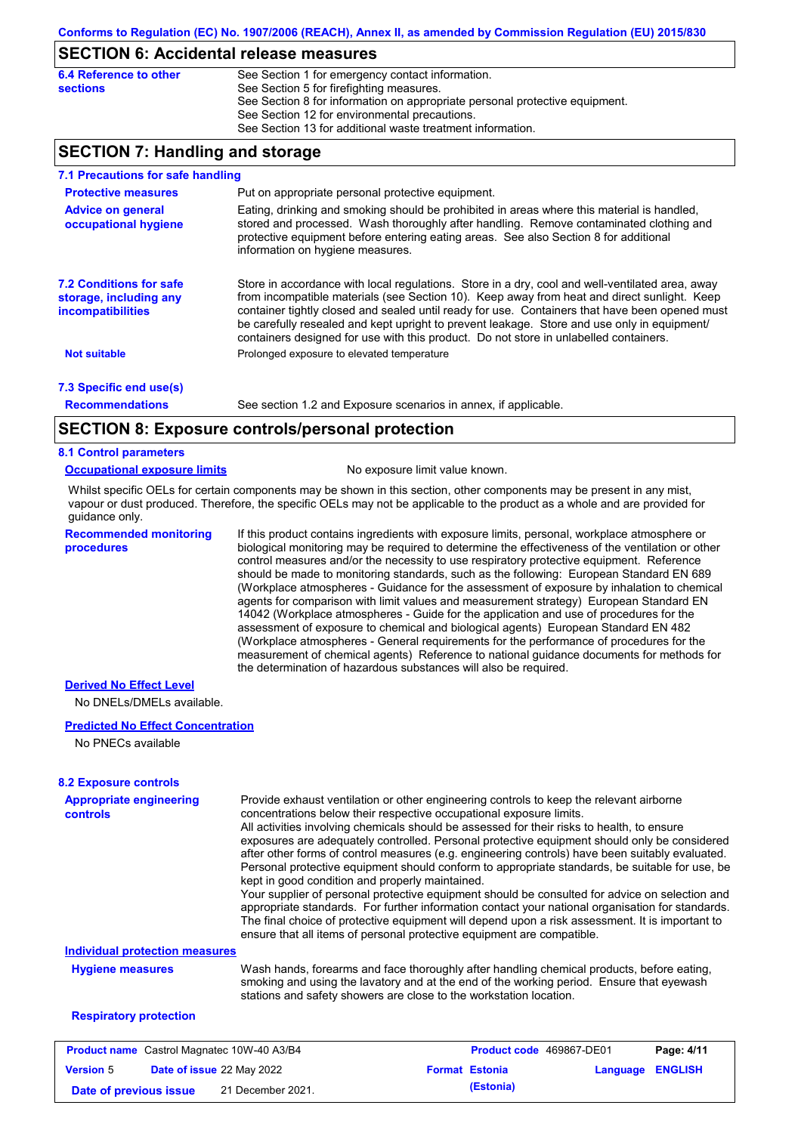## **SECTION 6: Accidental release measures**

| 6.4 Reference to other | See Section 1 for emergency contact information.                            |
|------------------------|-----------------------------------------------------------------------------|
| sections               | See Section 5 for firefighting measures.                                    |
|                        | See Section 8 for information on appropriate personal protective equipment. |
|                        | See Section 12 for environmental precautions.                               |
|                        | See Section 13 for additional waste treatment information.                  |

## **SECTION 7: Handling and storage**

| 7.1 Precautions for safe handling                                                    |                                                                                                                                                                                                                                                                                                                                                                                                                                                                                          |
|--------------------------------------------------------------------------------------|------------------------------------------------------------------------------------------------------------------------------------------------------------------------------------------------------------------------------------------------------------------------------------------------------------------------------------------------------------------------------------------------------------------------------------------------------------------------------------------|
| <b>Protective measures</b>                                                           | Put on appropriate personal protective equipment.                                                                                                                                                                                                                                                                                                                                                                                                                                        |
| <b>Advice on general</b><br>occupational hygiene                                     | Eating, drinking and smoking should be prohibited in areas where this material is handled,<br>stored and processed. Wash thoroughly after handling. Remove contaminated clothing and<br>protective equipment before entering eating areas. See also Section 8 for additional<br>information on hygiene measures.                                                                                                                                                                         |
| <b>7.2 Conditions for safe</b><br>storage, including any<br><i>incompatibilities</i> | Store in accordance with local regulations. Store in a dry, cool and well-ventilated area, away<br>from incompatible materials (see Section 10). Keep away from heat and direct sunlight. Keep<br>container tightly closed and sealed until ready for use. Containers that have been opened must<br>be carefully resealed and kept upright to prevent leakage. Store and use only in equipment/<br>containers designed for use with this product. Do not store in unlabelled containers. |
| <b>Not suitable</b>                                                                  | Prolonged exposure to elevated temperature                                                                                                                                                                                                                                                                                                                                                                                                                                               |
| 7.3 Specific end use(s)                                                              |                                                                                                                                                                                                                                                                                                                                                                                                                                                                                          |
| <b>Recommendations</b>                                                               | See section 1.2 and Exposure scenarios in annex, if applicable.                                                                                                                                                                                                                                                                                                                                                                                                                          |
|                                                                                      | SECTION 8: Exposure controls/personal protection                                                                                                                                                                                                                                                                                                                                                                                                                                         |

## **SECTION 8: Exposure controls/personal protection**

#### **8.1 Control parameters**

#### **Occupational exposure limits** No exposure limit value known.

Whilst specific OELs for certain components may be shown in this section, other components may be present in any mist, vapour or dust produced. Therefore, the specific OELs may not be applicable to the product as a whole and are provided for guidance only.

**Recommended monitoring procedures**

If this product contains ingredients with exposure limits, personal, workplace atmosphere or biological monitoring may be required to determine the effectiveness of the ventilation or other control measures and/or the necessity to use respiratory protective equipment. Reference should be made to monitoring standards, such as the following: European Standard EN 689 (Workplace atmospheres - Guidance for the assessment of exposure by inhalation to chemical agents for comparison with limit values and measurement strategy) European Standard EN 14042 (Workplace atmospheres - Guide for the application and use of procedures for the assessment of exposure to chemical and biological agents) European Standard EN 482 (Workplace atmospheres - General requirements for the performance of procedures for the measurement of chemical agents) Reference to national guidance documents for methods for the determination of hazardous substances will also be required.

## **Derived No Effect Level**

No DNELs/DMELs available.

#### **Predicted No Effect Concentration**

No PNECs available

| <b>Appropriate engineering</b><br><b>controls</b>    | Provide exhaust ventilation or other engineering controls to keep the relevant airborne<br>concentrations below their respective occupational exposure limits.<br>All activities involving chemicals should be assessed for their risks to health, to ensure<br>exposures are adequately controlled. Personal protective equipment should only be considered<br>after other forms of control measures (e.g. engineering controls) have been suitably evaluated.<br>Personal protective equipment should conform to appropriate standards, be suitable for use, be<br>kept in good condition and properly maintained.<br>Your supplier of personal protective equipment should be consulted for advice on selection and<br>appropriate standards. For further information contact your national organisation for standards.<br>The final choice of protective equipment will depend upon a risk assessment. It is important to<br>ensure that all items of personal protective equipment are compatible. |                          |          |                |
|------------------------------------------------------|---------------------------------------------------------------------------------------------------------------------------------------------------------------------------------------------------------------------------------------------------------------------------------------------------------------------------------------------------------------------------------------------------------------------------------------------------------------------------------------------------------------------------------------------------------------------------------------------------------------------------------------------------------------------------------------------------------------------------------------------------------------------------------------------------------------------------------------------------------------------------------------------------------------------------------------------------------------------------------------------------------|--------------------------|----------|----------------|
| <b>Individual protection measures</b>                |                                                                                                                                                                                                                                                                                                                                                                                                                                                                                                                                                                                                                                                                                                                                                                                                                                                                                                                                                                                                         |                          |          |                |
| <b>Hygiene measures</b>                              | Wash hands, forearms and face thoroughly after handling chemical products, before eating,<br>smoking and using the lavatory and at the end of the working period. Ensure that eyewash<br>stations and safety showers are close to the workstation location.                                                                                                                                                                                                                                                                                                                                                                                                                                                                                                                                                                                                                                                                                                                                             |                          |          |                |
| <b>Respiratory protection</b>                        |                                                                                                                                                                                                                                                                                                                                                                                                                                                                                                                                                                                                                                                                                                                                                                                                                                                                                                                                                                                                         |                          |          |                |
| <b>Product name</b> Castrol Magnatec 10W-40 A3/B4    |                                                                                                                                                                                                                                                                                                                                                                                                                                                                                                                                                                                                                                                                                                                                                                                                                                                                                                                                                                                                         | Product code 469867-DE01 |          | Page: 4/11     |
| <b>Date of issue 22 May 2022</b><br><b>Version 5</b> |                                                                                                                                                                                                                                                                                                                                                                                                                                                                                                                                                                                                                                                                                                                                                                                                                                                                                                                                                                                                         | <b>Format Estonia</b>    | Language | <b>ENGLISH</b> |

**Date of previous issue (Estonia)** 21 December 2021.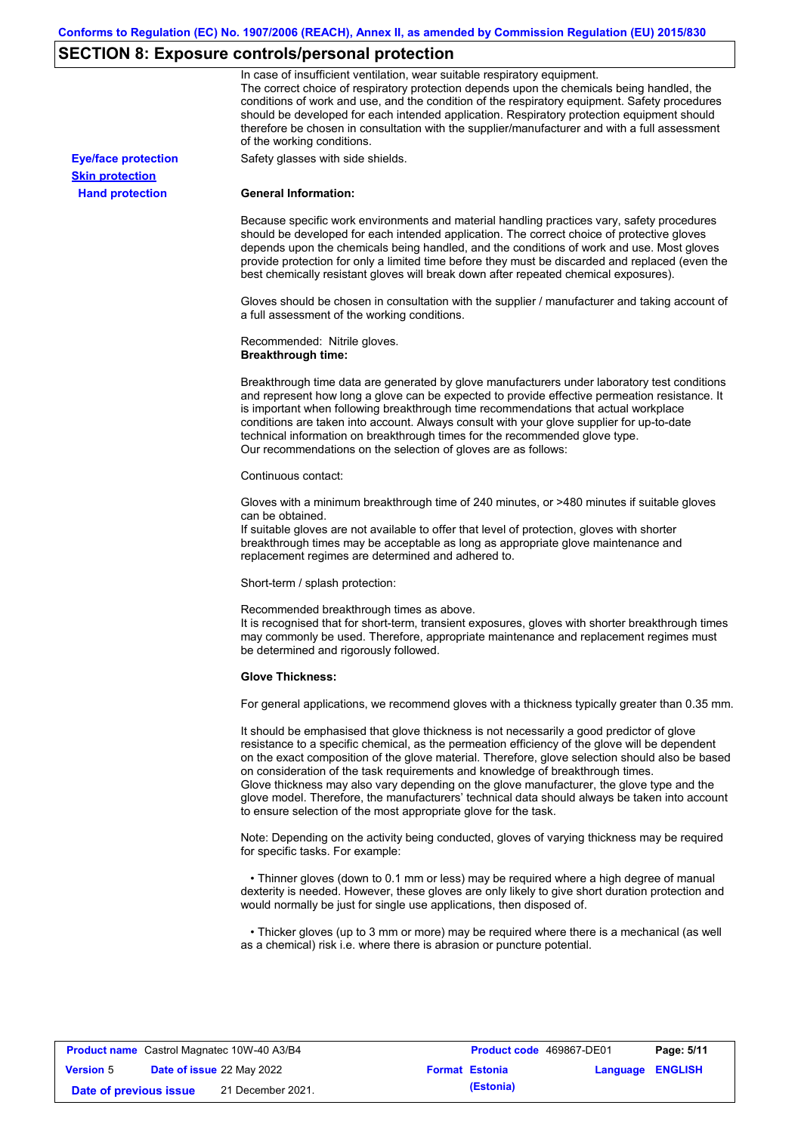# **SECTION 8: Exposure controls/personal protection**

|                            | In case of insufficient ventilation, wear suitable respiratory equipment.<br>The correct choice of respiratory protection depends upon the chemicals being handled, the<br>conditions of work and use, and the condition of the respiratory equipment. Safety procedures<br>should be developed for each intended application. Respiratory protection equipment should<br>therefore be chosen in consultation with the supplier/manufacturer and with a full assessment<br>of the working conditions.                                                                                                                                             |
|----------------------------|---------------------------------------------------------------------------------------------------------------------------------------------------------------------------------------------------------------------------------------------------------------------------------------------------------------------------------------------------------------------------------------------------------------------------------------------------------------------------------------------------------------------------------------------------------------------------------------------------------------------------------------------------|
| <b>Eye/face protection</b> | Safety glasses with side shields.                                                                                                                                                                                                                                                                                                                                                                                                                                                                                                                                                                                                                 |
| <b>Skin protection</b>     |                                                                                                                                                                                                                                                                                                                                                                                                                                                                                                                                                                                                                                                   |
| <b>Hand protection</b>     | <b>General Information:</b>                                                                                                                                                                                                                                                                                                                                                                                                                                                                                                                                                                                                                       |
|                            | Because specific work environments and material handling practices vary, safety procedures<br>should be developed for each intended application. The correct choice of protective gloves<br>depends upon the chemicals being handled, and the conditions of work and use. Most gloves<br>provide protection for only a limited time before they must be discarded and replaced (even the<br>best chemically resistant gloves will break down after repeated chemical exposures).                                                                                                                                                                  |
|                            | Gloves should be chosen in consultation with the supplier / manufacturer and taking account of<br>a full assessment of the working conditions.                                                                                                                                                                                                                                                                                                                                                                                                                                                                                                    |
|                            | Recommended: Nitrile gloves.<br><b>Breakthrough time:</b>                                                                                                                                                                                                                                                                                                                                                                                                                                                                                                                                                                                         |
|                            | Breakthrough time data are generated by glove manufacturers under laboratory test conditions<br>and represent how long a glove can be expected to provide effective permeation resistance. It<br>is important when following breakthrough time recommendations that actual workplace<br>conditions are taken into account. Always consult with your glove supplier for up-to-date<br>technical information on breakthrough times for the recommended glove type.<br>Our recommendations on the selection of gloves are as follows:                                                                                                                |
|                            | Continuous contact:                                                                                                                                                                                                                                                                                                                                                                                                                                                                                                                                                                                                                               |
|                            | Gloves with a minimum breakthrough time of 240 minutes, or >480 minutes if suitable gloves<br>can be obtained.<br>If suitable gloves are not available to offer that level of protection, gloves with shorter<br>breakthrough times may be acceptable as long as appropriate glove maintenance and<br>replacement regimes are determined and adhered to.                                                                                                                                                                                                                                                                                          |
|                            | Short-term / splash protection:                                                                                                                                                                                                                                                                                                                                                                                                                                                                                                                                                                                                                   |
|                            | Recommended breakthrough times as above.<br>It is recognised that for short-term, transient exposures, gloves with shorter breakthrough times<br>may commonly be used. Therefore, appropriate maintenance and replacement regimes must<br>be determined and rigorously followed.                                                                                                                                                                                                                                                                                                                                                                  |
|                            | <b>Glove Thickness:</b>                                                                                                                                                                                                                                                                                                                                                                                                                                                                                                                                                                                                                           |
|                            | For general applications, we recommend gloves with a thickness typically greater than 0.35 mm.                                                                                                                                                                                                                                                                                                                                                                                                                                                                                                                                                    |
|                            | It should be emphasised that glove thickness is not necessarily a good predictor of glove<br>resistance to a specific chemical, as the permeation efficiency of the glove will be dependent<br>on the exact composition of the glove material. Therefore, glove selection should also be based<br>on consideration of the task requirements and knowledge of breakthrough times.<br>Glove thickness may also vary depending on the glove manufacturer, the glove type and the<br>glove model. Therefore, the manufacturers' technical data should always be taken into account<br>to ensure selection of the most appropriate glove for the task. |
|                            | Note: Depending on the activity being conducted, gloves of varying thickness may be required<br>for specific tasks. For example:                                                                                                                                                                                                                                                                                                                                                                                                                                                                                                                  |
|                            | • Thinner gloves (down to 0.1 mm or less) may be required where a high degree of manual<br>dexterity is needed. However, these gloves are only likely to give short duration protection and<br>would normally be just for single use applications, then disposed of.                                                                                                                                                                                                                                                                                                                                                                              |
|                            | • Thicker gloves (up to 3 mm or more) may be required where there is a mechanical (as well<br>as a chemical) risk i.e. where there is abrasion or puncture potential.                                                                                                                                                                                                                                                                                                                                                                                                                                                                             |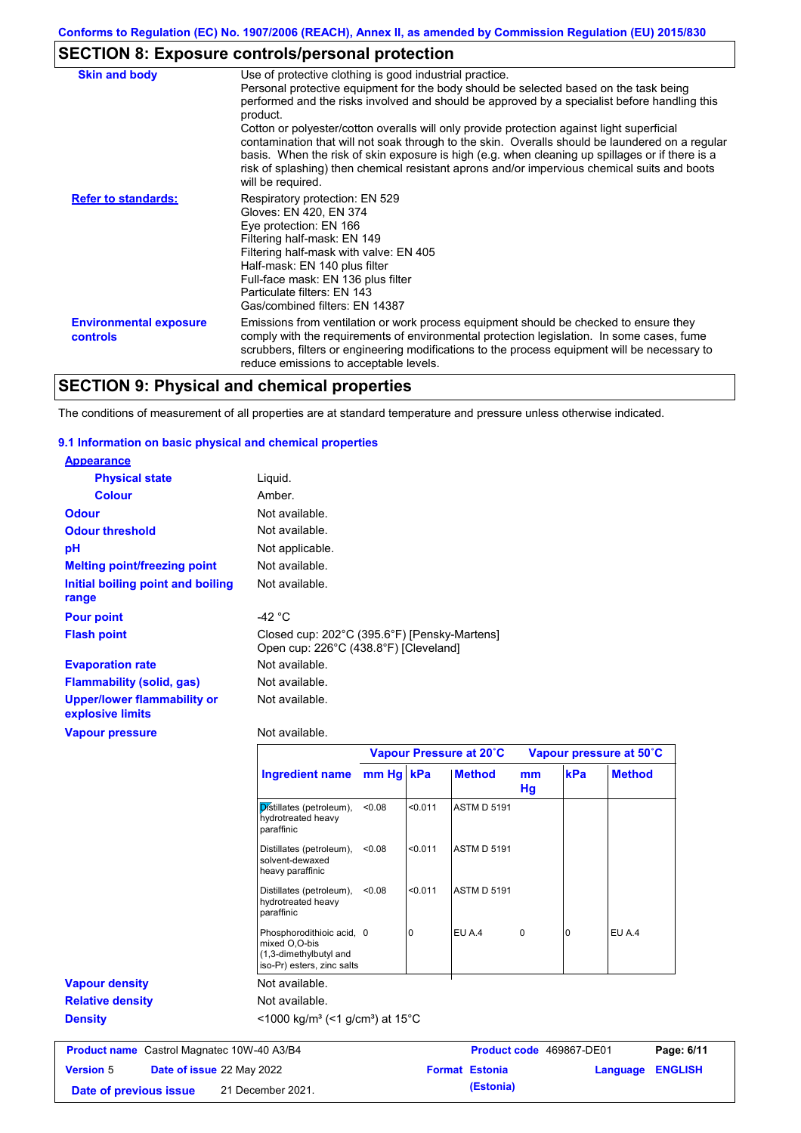# **SECTION 8: Exposure controls/personal protection**

| <b>Skin and body</b>                      | Use of protective clothing is good industrial practice.                                                                                                                                                                                                                                                                                                                                                               |
|-------------------------------------------|-----------------------------------------------------------------------------------------------------------------------------------------------------------------------------------------------------------------------------------------------------------------------------------------------------------------------------------------------------------------------------------------------------------------------|
|                                           | Personal protective equipment for the body should be selected based on the task being<br>performed and the risks involved and should be approved by a specialist before handling this<br>product.                                                                                                                                                                                                                     |
|                                           | Cotton or polyester/cotton overalls will only provide protection against light superficial<br>contamination that will not soak through to the skin. Overalls should be laundered on a regular<br>basis. When the risk of skin exposure is high (e.g. when cleaning up spillages or if there is a<br>risk of splashing) then chemical resistant aprons and/or impervious chemical suits and boots<br>will be required. |
| <b>Refer to standards:</b>                | Respiratory protection: EN 529<br>Gloves: EN 420, EN 374<br>Eye protection: EN 166<br>Filtering half-mask: EN 149<br>Filtering half-mask with valve: EN 405<br>Half-mask: EN 140 plus filter<br>Full-face mask: EN 136 plus filter<br>Particulate filters: EN 143<br>Gas/combined filters: EN 14387                                                                                                                   |
| <b>Environmental exposure</b><br>controls | Emissions from ventilation or work process equipment should be checked to ensure they<br>comply with the requirements of environmental protection legislation. In some cases, fume<br>scrubbers, filters or engineering modifications to the process equipment will be necessary to<br>reduce emissions to acceptable levels.                                                                                         |

# **SECTION 9: Physical and chemical properties**

The conditions of measurement of all properties are at standard temperature and pressure unless otherwise indicated.

## **9.1 Information on basic physical and chemical properties**

| <b>Appearance</b>                                      |                                                                                                    |           |         |                         |             |     |                         |
|--------------------------------------------------------|----------------------------------------------------------------------------------------------------|-----------|---------|-------------------------|-------------|-----|-------------------------|
| <b>Physical state</b>                                  | Liquid.                                                                                            |           |         |                         |             |     |                         |
| <b>Colour</b>                                          | Amber.                                                                                             |           |         |                         |             |     |                         |
| <b>Odour</b>                                           | Not available.                                                                                     |           |         |                         |             |     |                         |
| <b>Odour threshold</b>                                 | Not available.                                                                                     |           |         |                         |             |     |                         |
| pH                                                     | Not applicable.                                                                                    |           |         |                         |             |     |                         |
| <b>Melting point/freezing point</b>                    | Not available.                                                                                     |           |         |                         |             |     |                         |
| <b>Initial boiling point and boiling</b><br>range      | Not available.                                                                                     |           |         |                         |             |     |                         |
| <b>Pour point</b>                                      | $-42 °C$                                                                                           |           |         |                         |             |     |                         |
| <b>Flash point</b>                                     | Closed cup: 202°C (395.6°F) [Pensky-Martens]<br>Open cup: 226°C (438.8°F) [Cleveland]              |           |         |                         |             |     |                         |
| <b>Evaporation rate</b>                                | Not available.                                                                                     |           |         |                         |             |     |                         |
| <b>Flammability (solid, gas)</b>                       | Not available.                                                                                     |           |         |                         |             |     |                         |
| <b>Upper/lower flammability or</b><br>explosive limits | Not available.                                                                                     |           |         |                         |             |     |                         |
| <b>Vapour pressure</b>                                 | Not available.                                                                                     |           |         |                         |             |     |                         |
|                                                        |                                                                                                    |           |         | Vapour Pressure at 20°C |             |     | Vapour pressure at 50°C |
|                                                        | <b>Ingredient name</b>                                                                             | mm Hg kPa |         | <b>Method</b>           | mm<br>Hg    | kPa | <b>Method</b>           |
|                                                        | Distillates (petroleum),<br>hydrotreated heavy<br>paraffinic                                       | < 0.08    | < 0.011 | <b>ASTM D 5191</b>      |             |     |                         |
|                                                        | Distillates (petroleum),<br>solvent-dewaxed<br>heavy paraffinic                                    | < 0.08    | < 0.011 | <b>ASTM D 5191</b>      |             |     |                         |
|                                                        | Distillates (petroleum),<br>hydrotreated heavy<br>paraffinic                                       | < 0.08    | < 0.011 | <b>ASTM D 5191</b>      |             |     |                         |
|                                                        | Phosphorodithioic acid, 0<br>mixed O,O-bis<br>(1,3-dimethylbutyl and<br>iso-Pr) esters, zinc salts |           | 0       | EU A.4                  | $\mathbf 0$ | 0   | <b>EU A.4</b>           |
| <b>Vapour density</b>                                  |                                                                                                    |           |         |                         |             |     |                         |
|                                                        | Not available.                                                                                     |           |         |                         |             |     |                         |
| <b>Relative density</b>                                | Not available.                                                                                     |           |         |                         |             |     |                         |

| <b>Product name</b> Castrol Magnatec 10W-40 A3/B4 |  |                                  | <b>Product code</b> 469867-DE01 |                       | Page: 6/11       |  |
|---------------------------------------------------|--|----------------------------------|---------------------------------|-----------------------|------------------|--|
| <b>Version 5</b>                                  |  | <b>Date of issue 22 May 2022</b> |                                 | <b>Format Estonia</b> | Language ENGLISH |  |
| Date of previous issue                            |  | 21 December 2021.                |                                 | (Estonia)             |                  |  |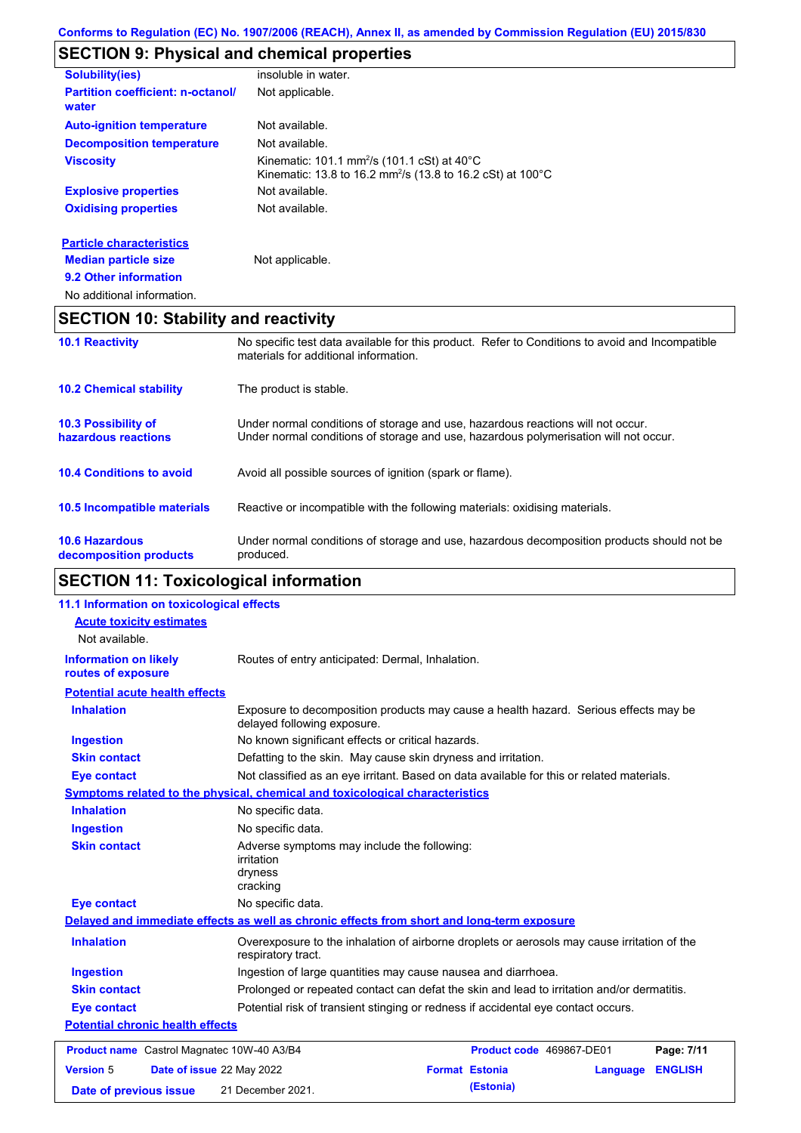# **SECTION 9: Physical and chemical properties**

| <b>Solubility(ies)</b>                            | insoluble in water.                                                                                                                |
|---------------------------------------------------|------------------------------------------------------------------------------------------------------------------------------------|
| <b>Partition coefficient: n-octanol/</b><br>water | Not applicable.                                                                                                                    |
| <b>Auto-ignition temperature</b>                  | Not available.                                                                                                                     |
| <b>Decomposition temperature</b>                  | Not available.                                                                                                                     |
| <b>Viscosity</b>                                  | Kinematic: 101.1 mm <sup>2</sup> /s (101.1 cSt) at 40°C<br>Kinematic: 13.8 to 16.2 mm <sup>2</sup> /s (13.8 to 16.2 cSt) at 100 °C |
| <b>Explosive properties</b>                       | Not available.                                                                                                                     |
| <b>Oxidising properties</b>                       | Not available.                                                                                                                     |
| <b>Particle characteristics</b>                   |                                                                                                                                    |
| <b>Median particle size</b>                       | Not applicable.                                                                                                                    |
| 9.2 Other information                             |                                                                                                                                    |

No additional information.

## **SECTION 10: Stability and reactivity**

| <b>10.1 Reactivity</b>                            | No specific test data available for this product. Refer to Conditions to avoid and Incompatible<br>materials for additional information.                                |
|---------------------------------------------------|-------------------------------------------------------------------------------------------------------------------------------------------------------------------------|
| <b>10.2 Chemical stability</b>                    | The product is stable.                                                                                                                                                  |
| <b>10.3 Possibility of</b><br>hazardous reactions | Under normal conditions of storage and use, hazardous reactions will not occur.<br>Under normal conditions of storage and use, hazardous polymerisation will not occur. |
| <b>10.4 Conditions to avoid</b>                   | Avoid all possible sources of ignition (spark or flame).                                                                                                                |
| <b>10.5 Incompatible materials</b>                | Reactive or incompatible with the following materials: oxidising materials.                                                                                             |
| <b>10.6 Hazardous</b><br>decomposition products   | Under normal conditions of storage and use, hazardous decomposition products should not be<br>produced.                                                                 |

# **SECTION 11: Toxicological information**

| 11.1 Information on toxicological effects          |                                                                                                                     |  |  |
|----------------------------------------------------|---------------------------------------------------------------------------------------------------------------------|--|--|
| <b>Acute toxicity estimates</b>                    |                                                                                                                     |  |  |
| Not available.                                     |                                                                                                                     |  |  |
| <b>Information on likely</b><br>routes of exposure | Routes of entry anticipated: Dermal, Inhalation.                                                                    |  |  |
| <b>Potential acute health effects</b>              |                                                                                                                     |  |  |
| <b>Inhalation</b>                                  | Exposure to decomposition products may cause a health hazard. Serious effects may be<br>delayed following exposure. |  |  |
| <b>Ingestion</b>                                   | No known significant effects or critical hazards.                                                                   |  |  |
| <b>Skin contact</b>                                | Defatting to the skin. May cause skin dryness and irritation.                                                       |  |  |
| <b>Eye contact</b>                                 | Not classified as an eye irritant. Based on data available for this or related materials.                           |  |  |
|                                                    | Symptoms related to the physical, chemical and toxicological characteristics                                        |  |  |
| <b>Inhalation</b>                                  | No specific data.                                                                                                   |  |  |
| <b>Ingestion</b>                                   | No specific data.                                                                                                   |  |  |
| <b>Skin contact</b>                                | Adverse symptoms may include the following:<br><i>irritation</i><br>dryness<br>cracking                             |  |  |
| <b>Eye contact</b>                                 | No specific data.                                                                                                   |  |  |
|                                                    | Delayed and immediate effects as well as chronic effects from short and long-term exposure                          |  |  |
| <b>Inhalation</b>                                  | Overexposure to the inhalation of airborne droplets or aerosols may cause irritation of the<br>respiratory tract.   |  |  |
| <b>Ingestion</b>                                   | Ingestion of large quantities may cause nausea and diarrhoea.                                                       |  |  |
| <b>Skin contact</b>                                | Prolonged or repeated contact can defat the skin and lead to irritation and/or dermatitis.                          |  |  |
| <b>Eye contact</b>                                 | Potential risk of transient stinging or redness if accidental eye contact occurs.                                   |  |  |
| <b>Potential chronic health effects</b>            |                                                                                                                     |  |  |
| Product name Castrol Magnatec 10W-40 A3/B4         | Product code 469867-DE01<br>Page: 7/11                                                                              |  |  |
| <b>Version 5</b>                                   | Date of issue 22 May 2022<br><b>Format Estonia</b><br><b>ENGLISH</b><br>Language                                    |  |  |
| Date of previous issue                             | (Estonia)<br>21 December 2021.                                                                                      |  |  |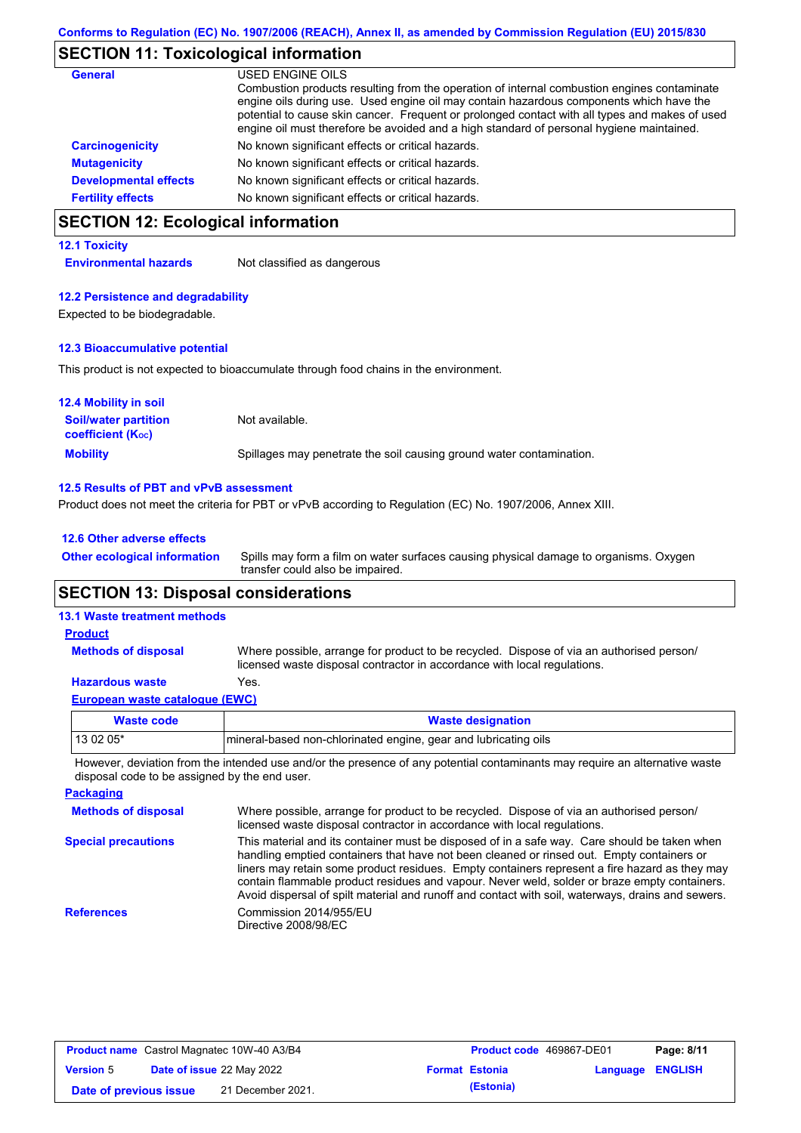## **SECTION 11: Toxicological information**

| <b>General</b>               | USED ENGINE OILS                                                                                                                                                                                                                                                                                                                                                                     |
|------------------------------|--------------------------------------------------------------------------------------------------------------------------------------------------------------------------------------------------------------------------------------------------------------------------------------------------------------------------------------------------------------------------------------|
|                              | Combustion products resulting from the operation of internal combustion engines contaminate<br>engine oils during use. Used engine oil may contain hazardous components which have the<br>potential to cause skin cancer. Frequent or prolonged contact with all types and makes of used<br>engine oil must therefore be avoided and a high standard of personal hygiene maintained. |
| <b>Carcinogenicity</b>       | No known significant effects or critical hazards.                                                                                                                                                                                                                                                                                                                                    |
| <b>Mutagenicity</b>          | No known significant effects or critical hazards.                                                                                                                                                                                                                                                                                                                                    |
| <b>Developmental effects</b> | No known significant effects or critical hazards.                                                                                                                                                                                                                                                                                                                                    |
| <b>Fertility effects</b>     | No known significant effects or critical hazards.                                                                                                                                                                                                                                                                                                                                    |

# **SECTION 12: Ecological information**

## **12.1 Toxicity**

**Environmental hazards** Not classified as dangerous

## **12.2 Persistence and degradability**

Expected to be biodegradable.

## **12.3 Bioaccumulative potential**

This product is not expected to bioaccumulate through food chains in the environment.

| <b>12.4 Mobility in soil</b>                                  |                                                                      |
|---------------------------------------------------------------|----------------------------------------------------------------------|
| <b>Soil/water partition</b><br>coefficient (K <sub>oc</sub> ) | Not available.                                                       |
| <b>Mobility</b>                                               | Spillages may penetrate the soil causing ground water contamination. |

## **12.5 Results of PBT and vPvB assessment**

Product does not meet the criteria for PBT or vPvB according to Regulation (EC) No. 1907/2006, Annex XIII.

## **12.6 Other adverse effects**

Spills may form a film on water surfaces causing physical damage to organisms. Oxygen transfer could also be impaired. **Other ecological information**

## **SECTION 13: Disposal considerations**

## **13.1 Waste treatment methods**

**Methods of disposal**

**Product**

Where possible, arrange for product to be recycled. Dispose of via an authorised person/ licensed waste disposal contractor in accordance with local regulations.

## **Hazardous waste** Yes.

**European waste catalogue (EWC)**

| Waste code | <b>Waste designation</b>                                        |
|------------|-----------------------------------------------------------------|
| $130205*$  | mineral-based non-chlorinated engine, gear and lubricating oils |
|            |                                                                 |

However, deviation from the intended use and/or the presence of any potential contaminants may require an alternative waste disposal code to be assigned by the end user.

| <b>Packaging</b>           |                                                                                                                                                                                                                                                                                                                                                                                                                                                                                                 |
|----------------------------|-------------------------------------------------------------------------------------------------------------------------------------------------------------------------------------------------------------------------------------------------------------------------------------------------------------------------------------------------------------------------------------------------------------------------------------------------------------------------------------------------|
| <b>Methods of disposal</b> | Where possible, arrange for product to be recycled. Dispose of via an authorised person/<br>licensed waste disposal contractor in accordance with local regulations.                                                                                                                                                                                                                                                                                                                            |
| <b>Special precautions</b> | This material and its container must be disposed of in a safe way. Care should be taken when<br>handling emptied containers that have not been cleaned or rinsed out. Empty containers or<br>liners may retain some product residues. Empty containers represent a fire hazard as they may<br>contain flammable product residues and vapour. Never weld, solder or braze empty containers.<br>Avoid dispersal of spilt material and runoff and contact with soil, waterways, drains and sewers. |
| <b>References</b>          | Commission 2014/955/EU<br>Directive 2008/98/EC                                                                                                                                                                                                                                                                                                                                                                                                                                                  |

| <b>Product name</b> Castrol Magnatec 10W-40 A3/B4 |  |                                  | <b>Product code</b> 469867-DE01 |                       | Page: 8/11              |  |
|---------------------------------------------------|--|----------------------------------|---------------------------------|-----------------------|-------------------------|--|
| <b>Version 5</b>                                  |  | <b>Date of issue 22 May 2022</b> |                                 | <b>Format Estonia</b> | <b>Language ENGLISH</b> |  |
| Date of previous issue                            |  | 21 December 2021.                |                                 | (Estonia)             |                         |  |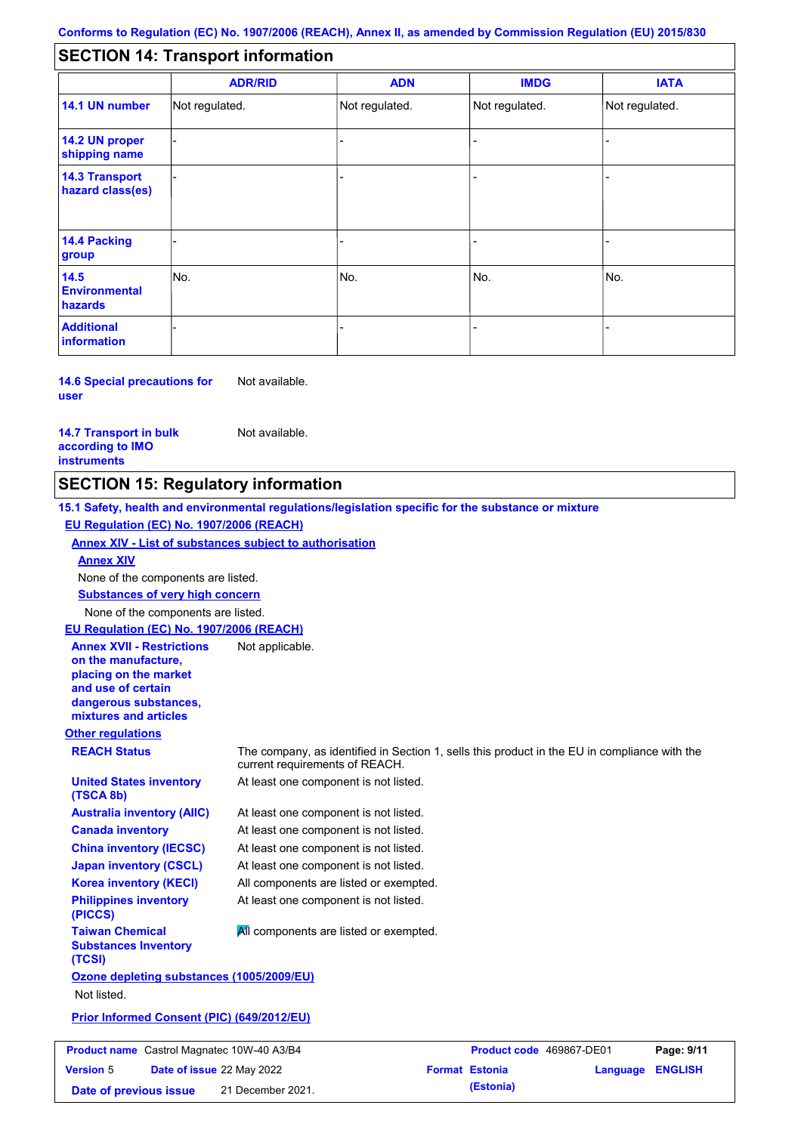#### - - - - - - - - - Not regulated. Not regulated. Not regulated. - - - **SECTION 14: Transport information ADR/RID IMDG IATA 14.1 UN number 14.2 UN proper shipping name 14.3 Transport hazard class(es) 14.4 Packing group ADN Additional information 14.5 Environmental hazards** No. 1980 | No. 1980 | No. 1980 | No. 1980 | No. 1980 | No. 1980 | No. 1980 | No. 1980 | No. 1980 | No. 1980 | Not regulated. - -<br>No. - -

**14.6 Special precautions for user** Not available.

## **14.7 Transport in bulk according to IMO instruments**

Not available.

**Version** 5

## **SECTION 15: Regulatory information**

**Other regulations REACH Status** The company, as identified in Section 1, sells this product in the EU in compliance with the current requirements of REACH. **15.1 Safety, health and environmental regulations/legislation specific for the substance or mixture EU Regulation (EC) No. 1907/2006 (REACH) Annex XIV - List of substances subject to authorisation Substances of very high concern** None of the components are listed. At least one component is not listed. At least one component is not listed. At least one component is not listed. At least one component is not listed. At least one component is not listed. All components are listed or exempted. At least one component is not listed. **United States inventory (TSCA 8b) Australia inventory (AIIC) Canada inventory China inventory (IECSC) Japan inventory (CSCL) Korea inventory (KECI) Philippines inventory (PICCS) Taiwan Chemical Substances Inventory (TCSI) All components are listed or exempted. Ozone depleting substances (1005/2009/EU)** Not listed. **Prior Informed Consent (PIC) (649/2012/EU)** None of the components are listed. **Annex XIV EU Regulation (EC) No. 1907/2006 (REACH) Annex XVII - Restrictions on the manufacture, placing on the market and use of certain dangerous substances, mixtures and articles** Not applicable. **Product name** Castrol Magnatec 10W-40 A3/B4 **Product code 469867-DE01 Page: 9/11** 

**Date of issue** 22 May 2022 **Format Estonia Language ENGLISH Date of previous issue (Estonia)** 21 December 2021.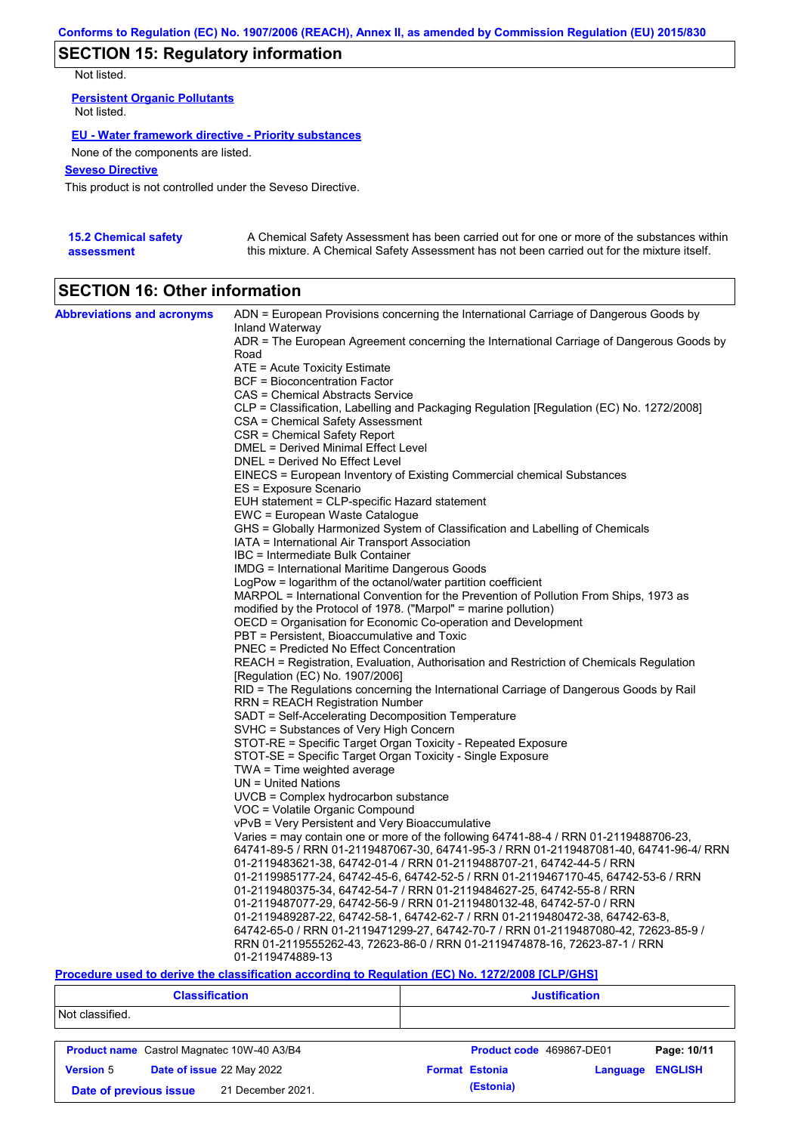## **SECTION 15: Regulatory information**

Not listed.

**Persistent Organic Pollutants** Not listed.

## **EU - Water framework directive - Priority substances**

None of the components are listed.

## **Seveso Directive**

This product is not controlled under the Seveso Directive.

| <b>15.2 Chemical safety</b> | A Chemical Safety Assessment has been carried out for one or more of the substances within  |
|-----------------------------|---------------------------------------------------------------------------------------------|
| assessment                  | this mixture. A Chemical Safety Assessment has not been carried out for the mixture itself. |

## **SECTION 16: Other information**

| <b>Abbreviations and acronyms</b> | ADN = European Provisions concerning the International Carriage of Dangerous Goods by    |  |  |  |
|-----------------------------------|------------------------------------------------------------------------------------------|--|--|--|
|                                   | Inland Waterway                                                                          |  |  |  |
|                                   | ADR = The European Agreement concerning the International Carriage of Dangerous Goods by |  |  |  |
|                                   | Road                                                                                     |  |  |  |
|                                   | ATE = Acute Toxicity Estimate                                                            |  |  |  |
|                                   | BCF = Bioconcentration Factor                                                            |  |  |  |
|                                   | CAS = Chemical Abstracts Service                                                         |  |  |  |
|                                   | CLP = Classification, Labelling and Packaging Regulation [Regulation (EC) No. 1272/2008] |  |  |  |
|                                   | <b>CSA = Chemical Safety Assessment</b>                                                  |  |  |  |
|                                   | CSR = Chemical Safety Report                                                             |  |  |  |
|                                   | <b>DMEL = Derived Minimal Effect Level</b>                                               |  |  |  |
|                                   | DNEL = Derived No Effect Level                                                           |  |  |  |
|                                   | EINECS = European Inventory of Existing Commercial chemical Substances                   |  |  |  |
|                                   | ES = Exposure Scenario                                                                   |  |  |  |
|                                   | EUH statement = CLP-specific Hazard statement                                            |  |  |  |
|                                   | EWC = European Waste Catalogue                                                           |  |  |  |
|                                   | GHS = Globally Harmonized System of Classification and Labelling of Chemicals            |  |  |  |
|                                   | IATA = International Air Transport Association                                           |  |  |  |
|                                   | IBC = Intermediate Bulk Container                                                        |  |  |  |
|                                   | IMDG = International Maritime Dangerous Goods                                            |  |  |  |
|                                   | LogPow = logarithm of the octanol/water partition coefficient                            |  |  |  |
|                                   | MARPOL = International Convention for the Prevention of Pollution From Ships, 1973 as    |  |  |  |
|                                   | modified by the Protocol of 1978. ("Marpol" = marine pollution)                          |  |  |  |
|                                   | OECD = Organisation for Economic Co-operation and Development                            |  |  |  |
|                                   | PBT = Persistent, Bioaccumulative and Toxic                                              |  |  |  |
|                                   | PNEC = Predicted No Effect Concentration                                                 |  |  |  |
|                                   | REACH = Registration, Evaluation, Authorisation and Restriction of Chemicals Regulation  |  |  |  |
|                                   | [Regulation (EC) No. 1907/2006]                                                          |  |  |  |
|                                   | RID = The Regulations concerning the International Carriage of Dangerous Goods by Rail   |  |  |  |
|                                   | RRN = REACH Registration Number                                                          |  |  |  |
|                                   | SADT = Self-Accelerating Decomposition Temperature                                       |  |  |  |
|                                   | SVHC = Substances of Very High Concern                                                   |  |  |  |
|                                   | STOT-RE = Specific Target Organ Toxicity - Repeated Exposure                             |  |  |  |
|                                   | STOT-SE = Specific Target Organ Toxicity - Single Exposure                               |  |  |  |
|                                   | $TWA = Time$ weighted average                                                            |  |  |  |
|                                   | $UN = United Nations$                                                                    |  |  |  |
|                                   | UVCB = Complex hydrocarbon substance                                                     |  |  |  |
|                                   | VOC = Volatile Organic Compound                                                          |  |  |  |
|                                   | vPvB = Very Persistent and Very Bioaccumulative                                          |  |  |  |
|                                   | Varies = may contain one or more of the following 64741-88-4 / RRN 01-2119488706-23,     |  |  |  |
|                                   | 64741-89-5 / RRN 01-2119487067-30, 64741-95-3 / RRN 01-2119487081-40, 64741-96-4/ RRN    |  |  |  |
|                                   | 01-2119483621-38, 64742-01-4 / RRN 01-2119488707-21, 64742-44-5 / RRN                    |  |  |  |
|                                   | 01-2119985177-24, 64742-45-6, 64742-52-5 / RRN 01-2119467170-45, 64742-53-6 / RRN        |  |  |  |
|                                   | 01-2119480375-34, 64742-54-7 / RRN 01-2119484627-25, 64742-55-8 / RRN                    |  |  |  |
|                                   | 01-2119487077-29, 64742-56-9 / RRN 01-2119480132-48, 64742-57-0 / RRN                    |  |  |  |
|                                   | 01-2119489287-22, 64742-58-1, 64742-62-7 / RRN 01-2119480472-38, 64742-63-8,             |  |  |  |
|                                   | 64742-65-0 / RRN 01-2119471299-27, 64742-70-7 / RRN 01-2119487080-42, 72623-85-9 /       |  |  |  |
|                                   | RRN 01-2119555262-43, 72623-86-0 / RRN 01-2119474878-16, 72623-87-1 / RRN                |  |  |  |
|                                   | 01-2119474889-13                                                                         |  |  |  |

## **Procedure used to derive the classification according to Regulation (EC) No. 1272/2008 [CLP/GHS]**

| <b>Classification</b>                             |                           | <b>Justification</b>     |                       |             |                |
|---------------------------------------------------|---------------------------|--------------------------|-----------------------|-------------|----------------|
| Not classified.                                   |                           |                          |                       |             |                |
| <b>Product name</b> Castrol Magnatec 10W-40 A3/B4 |                           | Product code 469867-DE01 |                       | Page: 10/11 |                |
| <b>Version 5</b>                                  | Date of issue 22 May 2022 |                          | <b>Format Estonia</b> | Language    | <b>ENGLISH</b> |
| 21 December 2021.<br>Date of previous issue       |                           | (Estonia)                |                       |             |                |